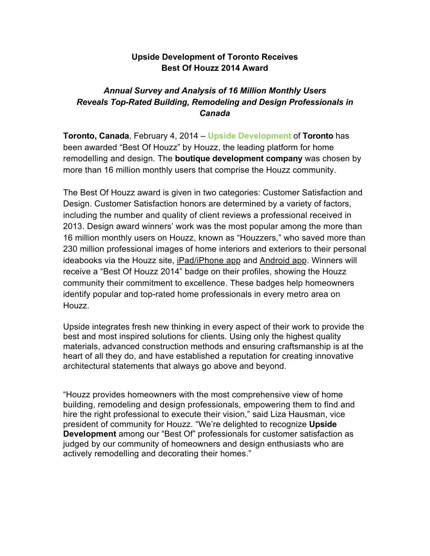## **Upside Development of Toronto Receives Best Of Houzz 2014 Award**

## *Annual Survey and Analysis of 16 Million Monthly Users Reveals Top-Rated Building, Remodeling and Design Professionals in Canada*

**Toronto, Canada**, February 4, 2014 – **Upside Development** of **Toronto** has been awarded "Best Of Houzz" by Houzz, the leading platform for home remodelling and design. The **boutique development company** was chosen by more than 16 million monthly users that comprise the Houzz community.

The Best Of Houzz award is given in two categories: Customer Satisfaction and Design. Customer Satisfaction honors are determined by a variety of factors, including the number and quality of client reviews a professional received in 2013. Design award winners' work was the most popular among the more than 16 million monthly users on Houzz, known as "Houzzers," who saved more than 230 million professional images of home interiors and exteriors to their personal ideabooks via the Houzz site, [iPad/iPhone app](http://itunes.apple.com/us/app/houzz-interior-design-ideas/id399563465?mt=8) and [Android app](https://play.google.com/store/apps/details?id=com.houzz.app). Winners will receive a "Best Of Houzz 2014" badge on their profiles, showing the Houzz community their commitment to excellence. These badges help homeowners identify popular and top-rated home professionals in every metro area on Houzz.

Upside integrates fresh new thinking in every aspect of their work to provide the best and most inspired solutions for clients. Using only the highest quality materials, advanced construction methods and ensuring craftsmanship is at the heart of all they do, and have established a reputation for creating innovative architectural statements that always go above and beyond.

"Houzz provides homeowners with the most comprehensive view of home building, remodeling and design professionals, empowering them to find and hire the right professional to execute their vision," said Liza Hausman, vice president of community for Houzz. "We're delighted to recognize **Upside Development** among our "Best Of" professionals for customer satisfaction as judged by our community of homeowners and design enthusiasts who are actively remodelling and decorating their homes."